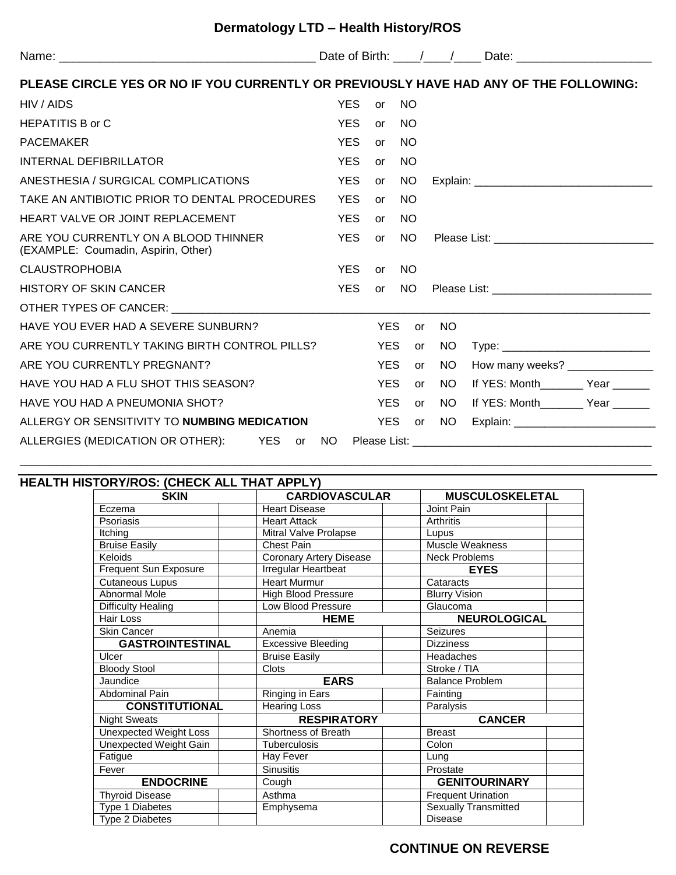| Dermatology LTD - Health History/ROS |  |  |
|--------------------------------------|--|--|
|--------------------------------------|--|--|

| PLEASE CIRCLE YES OR NO IF YOU CURRENTLY OR PREVIOUSLY HAVE HAD ANY OF THE FOLLOWING: |            |            |               |           |                                   |
|---------------------------------------------------------------------------------------|------------|------------|---------------|-----------|-----------------------------------|
| HIV / AIDS                                                                            | <b>YES</b> | <b>or</b>  | <b>NO</b>     |           |                                   |
| <b>HEPATITIS B or C</b>                                                               | YES.       | or         | <b>NO</b>     |           |                                   |
| <b>PACEMAKER</b>                                                                      | <b>YES</b> | or         | <b>NO</b>     |           |                                   |
| INTERNAL DEFIBRILLATOR                                                                | <b>YES</b> | <b>or</b>  | <b>NO</b>     |           |                                   |
| ANESTHESIA / SURGICAL COMPLICATIONS                                                   | <b>YES</b> | <b>or</b>  | NO.           |           |                                   |
| TAKE AN ANTIBIOTIC PRIOR TO DENTAL PROCEDURES                                         | <b>YES</b> | or         | <b>NO</b>     |           |                                   |
| HEART VALVE OR JOINT REPLACEMENT                                                      | <b>YES</b> | or         | <b>NO</b>     |           |                                   |
| ARE YOU CURRENTLY ON A BLOOD THINNER<br>(EXAMPLE: Coumadin, Aspirin, Other)           | <b>YES</b> | or         | NO.           |           |                                   |
| <b>CLAUSTROPHOBIA</b>                                                                 | YES        | or NO      |               |           |                                   |
| <b>HISTORY OF SKIN CANCER</b>                                                         | <b>YES</b> |            | or NO         |           |                                   |
| OTHER TYPES OF CANCER: CONTRACT CONTRACT AND THE RESIDENCE OF CANCER:                 |            |            |               |           |                                   |
| HAVE YOU EVER HAD A SEVERE SUNBURN?                                                   |            | <b>YES</b> | or            | <b>NO</b> |                                   |
| ARE YOU CURRENTLY TAKING BIRTH CONTROL PILLS?                                         |            | YES.       | or            | NO.       |                                   |
| ARE YOU CURRENTLY PREGNANT?                                                           |            | YES.       | or            | NO.       | How many weeks? ________________  |
| HAVE YOU HAD A FLU SHOT THIS SEASON?                                                  |            | <b>YES</b> | <b>or</b>     | NO.       | If YES: Month Year                |
| HAVE YOU HAD A PNEUMONIA SHOT?                                                        |            | <b>YES</b> |               | or NO     | If YES: Month________ Year ______ |
| ALLERGY OR SENSITIVITY TO NUMBING MEDICATION                                          |            | YES        | $\mathsf{or}$ | NO.       |                                   |
|                                                                                       |            |            |               |           |                                   |

\_\_\_\_\_\_\_\_\_\_\_\_\_\_\_\_\_\_\_\_\_\_\_\_\_\_\_\_\_\_\_\_\_\_\_\_\_\_\_\_\_\_\_\_\_\_\_\_\_\_\_\_\_\_\_\_\_\_\_\_\_\_\_\_\_\_\_\_\_\_\_\_\_\_\_\_\_\_\_\_\_\_\_\_\_\_\_\_\_\_\_\_\_\_\_\_\_\_\_\_\_\_\_

| HEALTH HISTORY/ROS: (CHECK ALL THAT APPLY) |                                |                             |
|--------------------------------------------|--------------------------------|-----------------------------|
| <b>SKIN</b>                                | <b>CARDIOVASCULAR</b>          | <b>MUSCULOSKELETAL</b>      |
| Eczema                                     | <b>Heart Disease</b>           | Joint Pain                  |
| Psoriasis                                  | <b>Heart Attack</b>            | Arthritis                   |
| Itching                                    | Mitral Valve Prolapse          | Lupus                       |
| <b>Bruise Easily</b>                       | Chest Pain                     | Muscle Weakness             |
| Keloids                                    | <b>Coronary Artery Disease</b> | <b>Neck Problems</b>        |
| Frequent Sun Exposure                      | Irregular Heartbeat            | <b>EYES</b>                 |
| Cutaneous Lupus                            | <b>Heart Murmur</b>            | Cataracts                   |
| Abnormal Mole                              | <b>High Blood Pressure</b>     | <b>Blurry Vision</b>        |
| <b>Difficulty Healing</b>                  | Low Blood Pressure             | Glaucoma                    |
| Hair Loss                                  | <b>HEME</b>                    | <b>NEUROLOGICAL</b>         |
| <b>Skin Cancer</b>                         | Anemia                         | <b>Seizures</b>             |
| <b>GASTROINTESTINAL</b>                    | <b>Excessive Bleeding</b>      | <b>Dizziness</b>            |
| Ulcer                                      | <b>Bruise Easily</b>           | Headaches                   |
| <b>Bloody Stool</b>                        | <b>Clots</b>                   | Stroke / TIA                |
| Jaundice                                   | <b>EARS</b>                    | <b>Balance Problem</b>      |
| <b>Abdominal Pain</b>                      | Ringing in Ears                | Fainting                    |
| <b>CONSTITUTIONAL</b>                      | <b>Hearing Loss</b>            | Paralysis                   |
| <b>Night Sweats</b>                        | <b>RESPIRATORY</b>             | <b>CANCER</b>               |
| Unexpected Weight Loss                     | Shortness of Breath            | <b>Breast</b>               |
| Unexpected Weight Gain                     | Tuberculosis                   | Colon                       |
| Fatigue                                    | Hay Fever                      | Lung                        |
| Fever                                      | <b>Sinusitis</b>               | Prostate                    |
| <b>ENDOCRINE</b>                           | Cough                          | <b>GENITOURINARY</b>        |
| <b>Thyroid Disease</b>                     | Asthma                         | <b>Frequent Urination</b>   |
| Type 1 Diabetes                            | Emphysema                      | <b>Sexually Transmitted</b> |
| <b>Type 2 Diabetes</b>                     |                                | <b>Disease</b>              |

## **CONTINUE ON REVERSE**